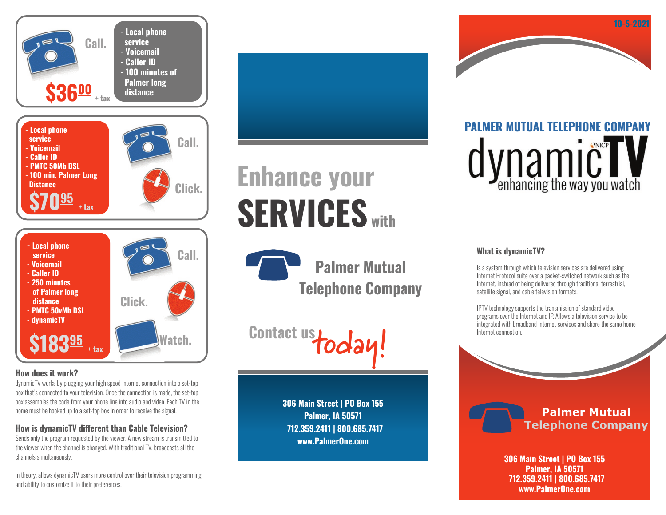

## **How does it work?**

dynamicTV works by plugging your high speed Internet connection into a set-top box that's connected to your television. Once the connection is made, the set-top box assembles the code from your phone line into audio and video. Each TV in the home must be hooked up to a set-top box in order to receive the signal.

# **How is dynamicTV different than Cable Television?**

Sends only the program requested by the viewer. A new stream is transmitted to the viewer when the channel is changed. With traditional TV, broadcasts all the channels simultaneously.

In theory, allows dynamicTV users more control over their television programming and ability to customize it to their preferences.

# **Enhance your SERVICES with**

**Palmer Mutual Telephone Company**

**Contact us today!**

**306 Main Street | PO Box 155 Palmer, IA 50571 712.359.2411 | 800.685.7417 www.PalmerOne.com**

# **PALMER MUTUAL TELEPHONE COMPANY** dynamic Way you watch

**10-5-2021**

## **What is dynamicTV?**

Is a system through which television services are delivered using Internet Protocol suite over a packet-switched network such as the Internet, instead of being delivered through traditional terrestrial, satellite signal, and cable television formats.

IPTV technology supports the transmission of standard video programs over the Internet and IP. Allows a television service to be integrated with broadband Internet services and share the same home Internet connection.



**306 Main Street | PO Box 155 Palmer, IA 50571 712.359.2411 | 800.685.7417 www.PalmerOne.com**